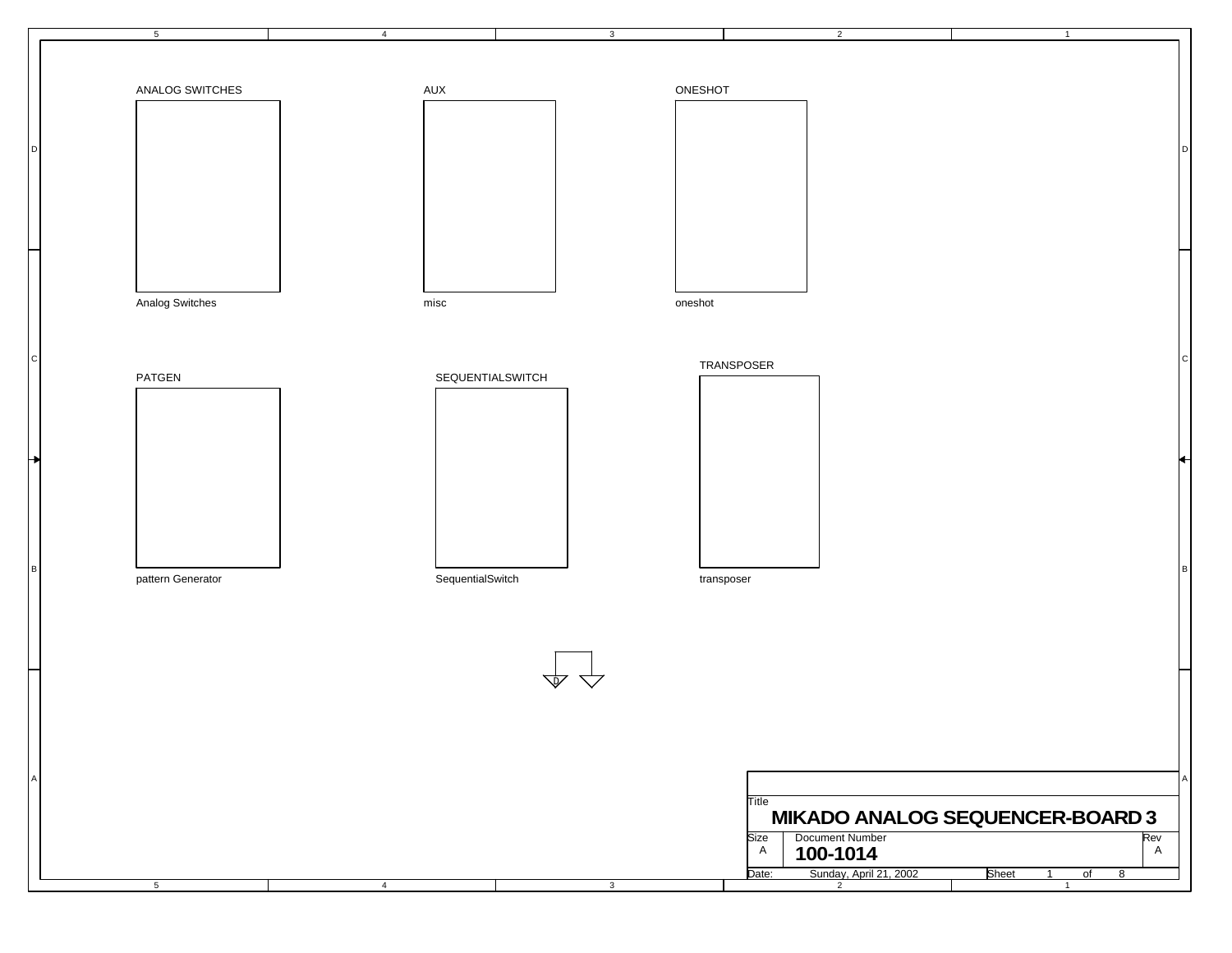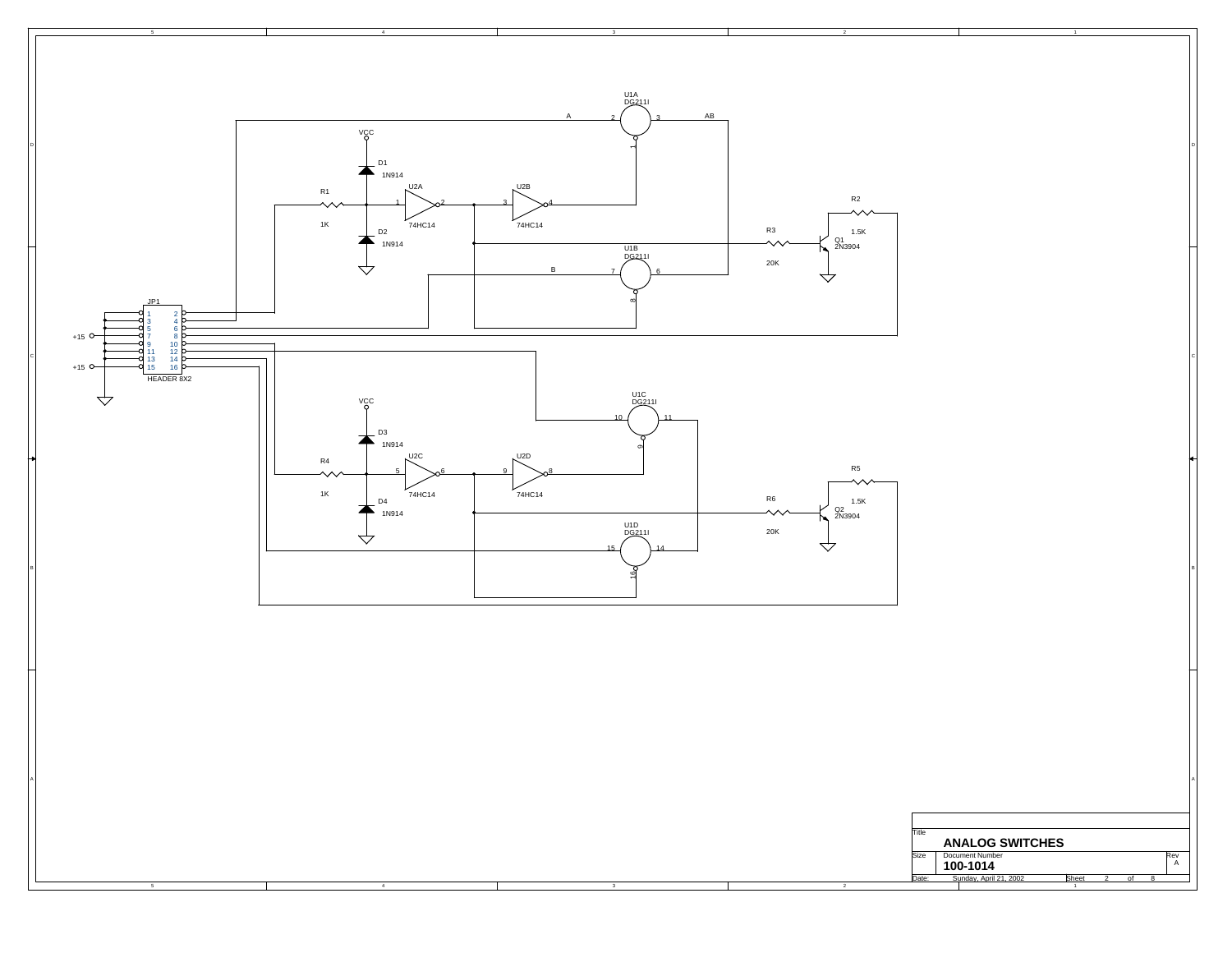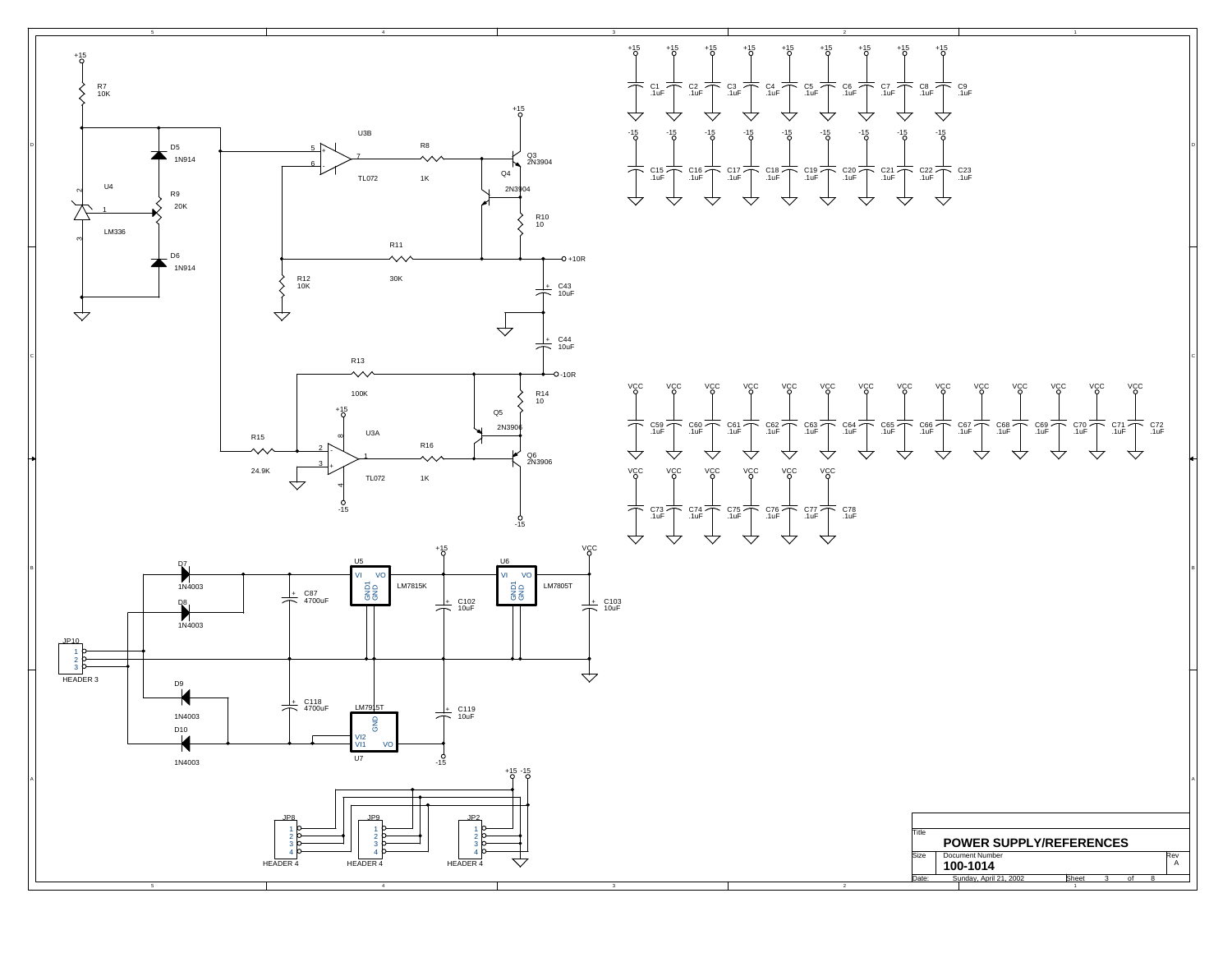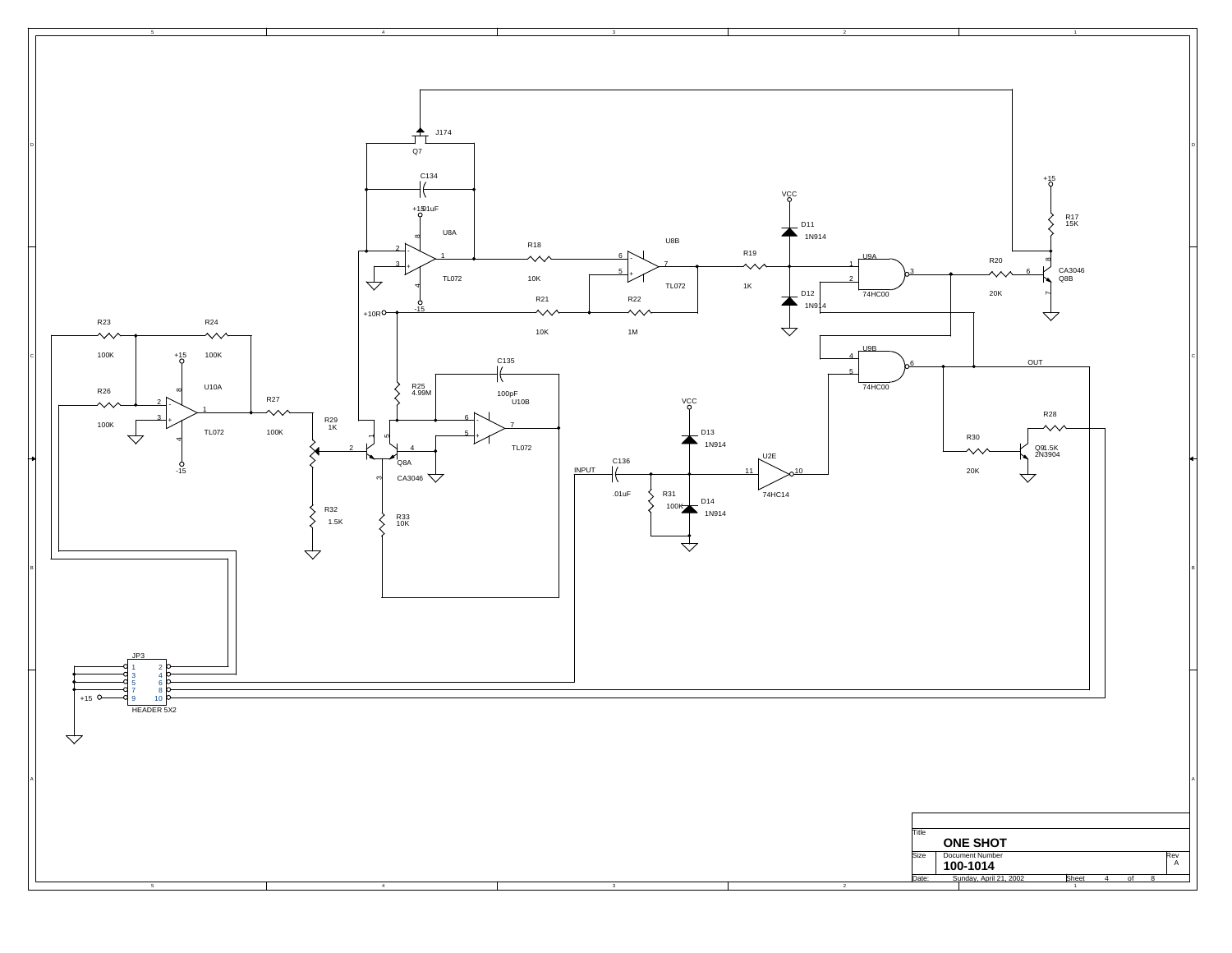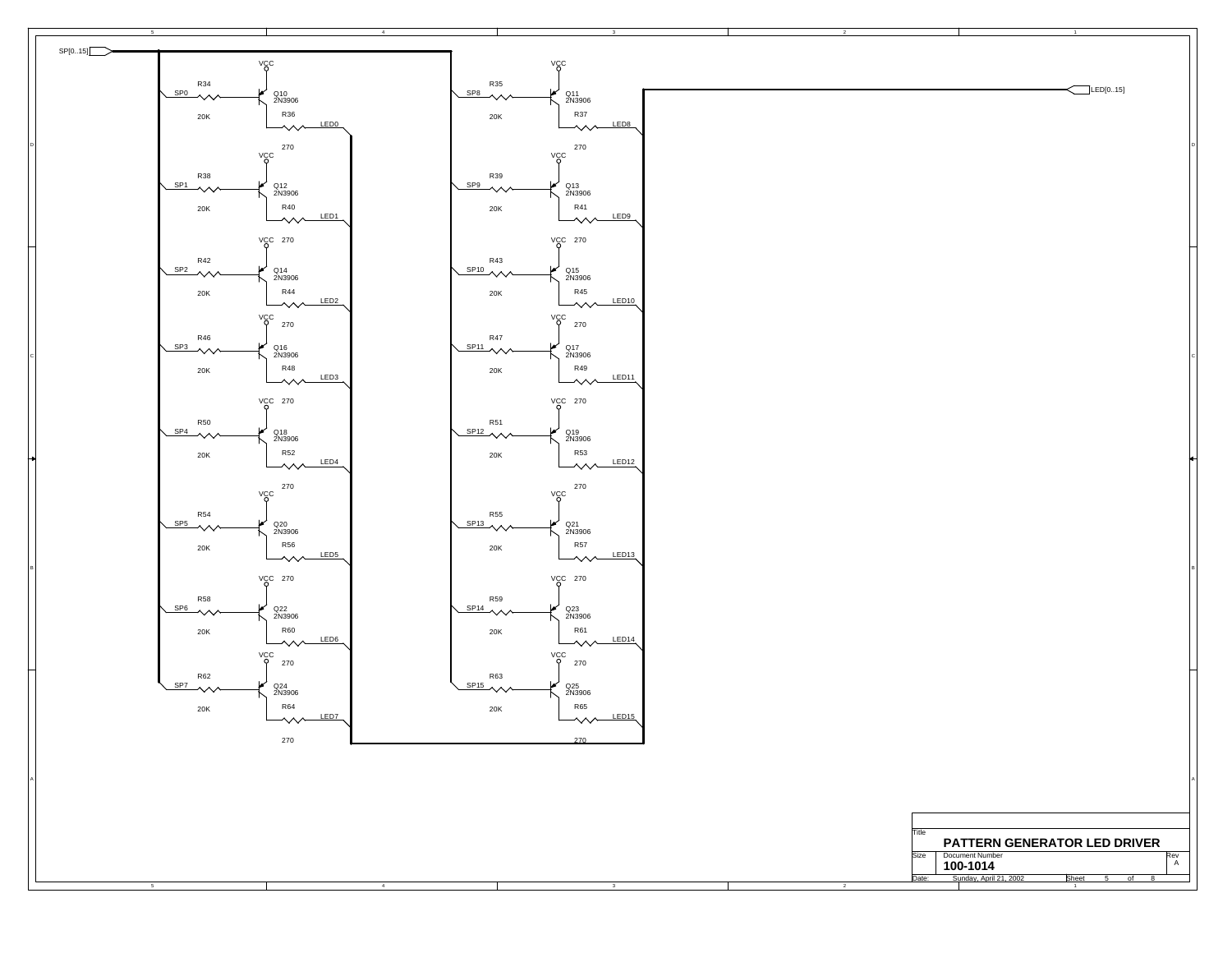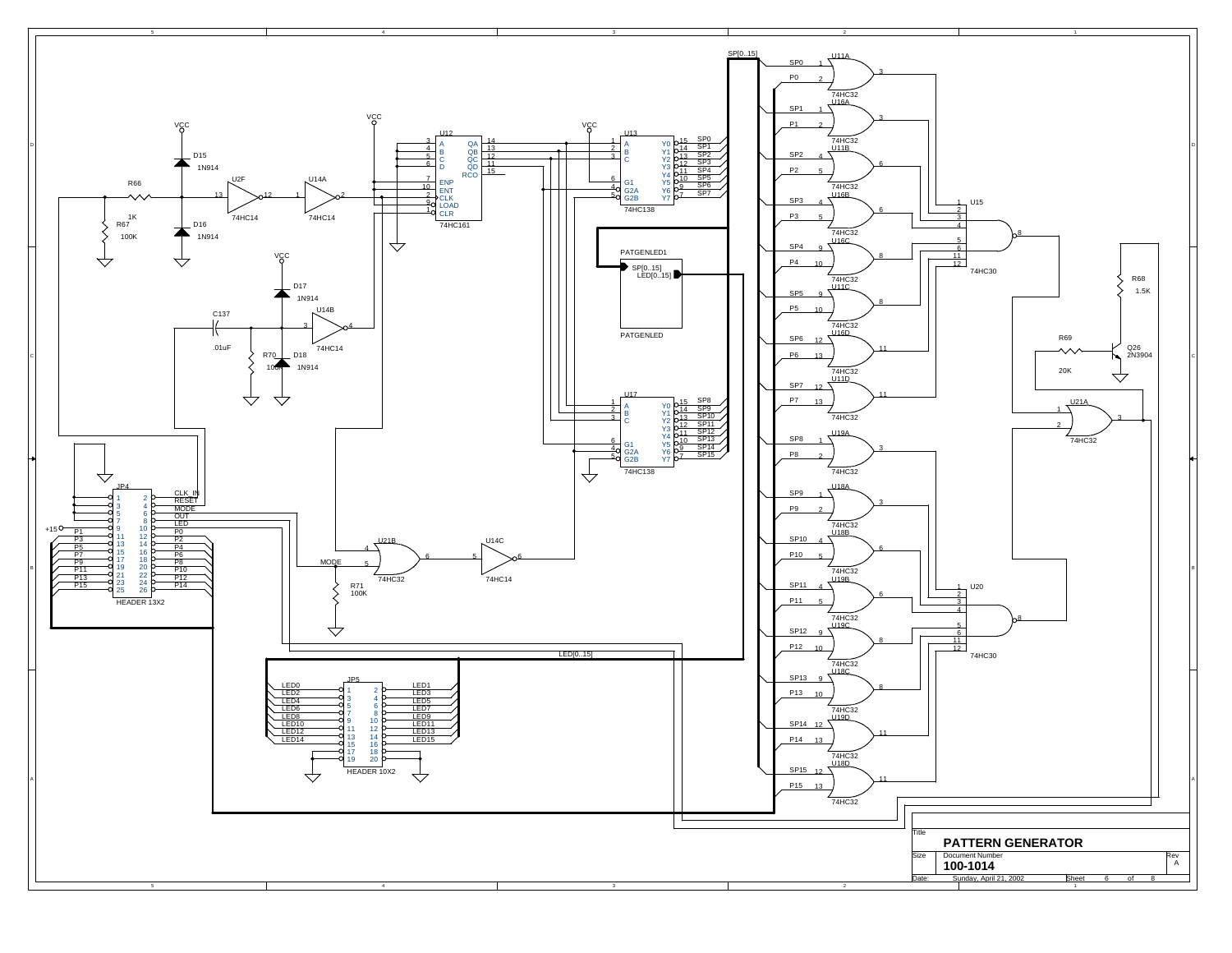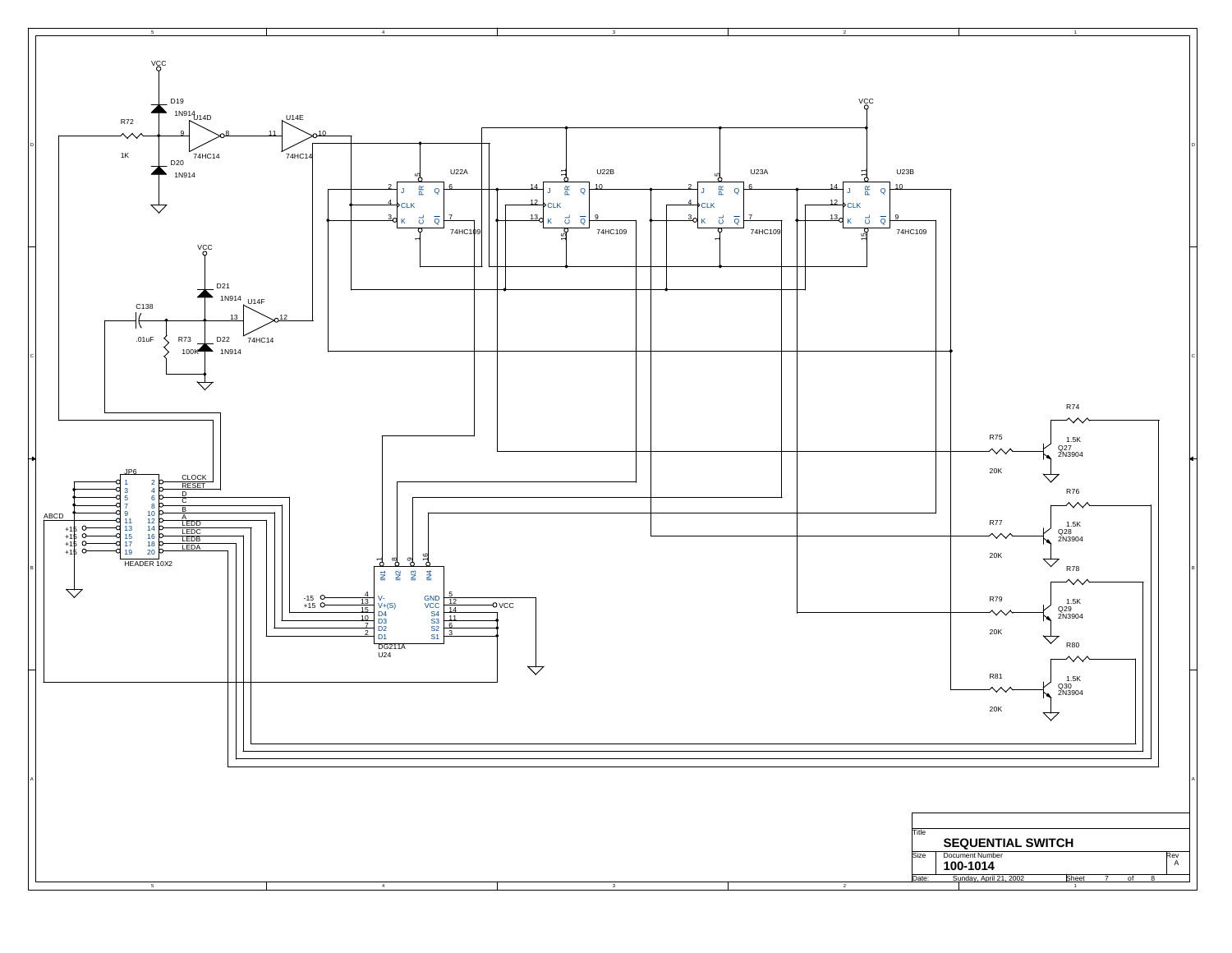